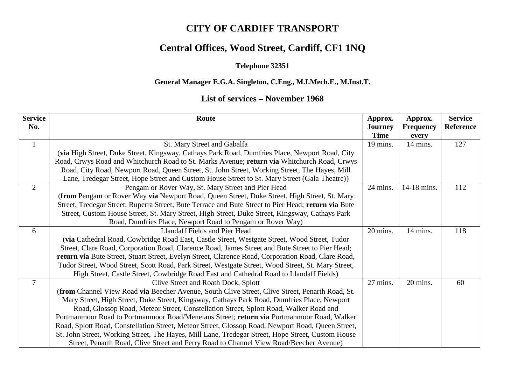## **CITY OF CARDIFF TRANSPORT**

# **Central Offices, Wood Street, Cardiff, CF1 1NQ**

#### **Telephone 32351**

#### **General Manager E.G.A. Singleton, C.Eng., M.I.Mech.E., M.Inst.T.**

### **List of services – November 1968**

| <b>Service</b> | Route                                                                                               | Approx.        | Approx.          | <b>Service</b>   |
|----------------|-----------------------------------------------------------------------------------------------------|----------------|------------------|------------------|
| No.            |                                                                                                     | <b>Journey</b> | <b>Frequency</b> | <b>Reference</b> |
|                |                                                                                                     | <b>Time</b>    | every            |                  |
| $\mathbf{1}$   | St. Mary Street and Gabalfa                                                                         | 19 mins.       | 14 mins.         | 127              |
|                | (via High Street, Duke Street, Kingsway, Cathays Park Road, Dumfries Place, Newport Road, City      |                |                  |                  |
|                | Road, Crwys Road and Whitchurch Road to St. Marks Avenue; return via Whitchurch Road, Crwys         |                |                  |                  |
|                | Road, City Road, Newport Road, Queen Street, St. John Street, Working Street, The Hayes, Mill       |                |                  |                  |
|                | Lane, Tredegar Street, Hope Street and Custom House Street to St. Mary Street (Gala Theatre))       |                |                  |                  |
| $\overline{2}$ | Pengam or Rover Way, St. Mary Street and Pier Head                                                  | 24 mins.       | 14-18 mins.      | 112              |
|                | (from Pengam or Rover Way via Newport Road, Queen Street, Duke Street, High Street, St. Mary        |                |                  |                  |
|                | Street, Tredegar Street, Ruperra Street, Bute Terrace and Bute Street to Pier Head; return via Bute |                |                  |                  |
|                | Street, Custom House Street, St. Mary Street, High Street, Duke Street, Kingsway, Cathays Park      |                |                  |                  |
|                | Road, Dumfries Place, Newport Road to Pengam or Rover Way)                                          |                |                  |                  |
| 6              | Llandaff Fields and Pier Head                                                                       | 20 mins.       | 14 mins.         | 118              |
|                | (via Cathedral Road, Cowbridge Road East, Castle Street, Westgate Street, Wood Street, Tudor        |                |                  |                  |
|                | Street, Clare Road, Corporation Road, Clarence Road, James Street and Bute Street to Pier Head;     |                |                  |                  |
|                | return via Bute Street, Stuart Street, Evelyn Street, Clarence Road, Corporation Road, Clare Road,  |                |                  |                  |
|                | Tudor Street, Wood Street, Scott Road, Park Street, Westgate Street, Wood Street, St. Mary Street,  |                |                  |                  |
|                | High Street, Castle Street, Cowbridge Road East and Cathedral Road to Llandaff Fields)              |                |                  |                  |
| $\overline{7}$ | Clive Street and Roath Dock, Splott                                                                 | 27 mins.       | 20 mins.         | 60               |
|                | (from Channel View Road via Beecher Avenue, South Clive Street, Clive Street, Penarth Road, St.     |                |                  |                  |
|                | Mary Street, High Street, Duke Street, Kingsway, Cathays Park Road, Dumfries Place, Newport         |                |                  |                  |
|                | Road, Glossop Road, Meteor Street, Constellation Street, Splott Road, Walker Road and               |                |                  |                  |
|                | Portmanmoor Road to Portmanmoor Road/Menelaus Street; return via Portmanmoor Road, Walker           |                |                  |                  |
|                | Road, Splott Road, Constellation Street, Meteor Street, Glossop Road, Newport Road, Queen Street,   |                |                  |                  |
|                | St. John Street, Working Street, The Hayes, Mill Lane, Tredegar Street, Hope Street, Custom House   |                |                  |                  |
|                | Street, Penarth Road, Clive Street and Ferry Road to Channel View Road/Beecher Avenue)              |                |                  |                  |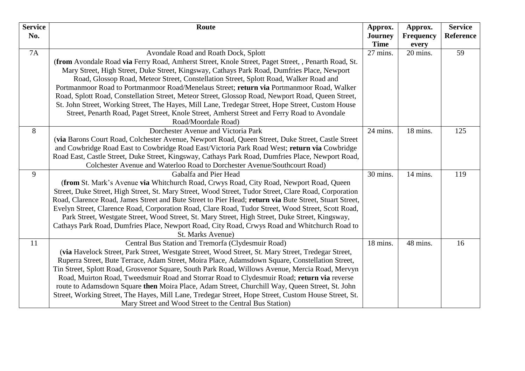| <b>Service</b> | Route                                                                                                                                                                                                 | Approx.                 | Approx.           | <b>Service</b> |
|----------------|-------------------------------------------------------------------------------------------------------------------------------------------------------------------------------------------------------|-------------------------|-------------------|----------------|
| No.            |                                                                                                                                                                                                       | <b>Journey</b>          | <b>Frequency</b>  | Reference      |
| <b>7A</b>      |                                                                                                                                                                                                       | <b>Time</b><br>27 mins. | every<br>20 mins. | 59             |
|                | Avondale Road and Roath Dock, Splott<br>(from Avondale Road via Ferry Road, Amherst Street, Knole Street, Paget Street, , Penarth Road, St.                                                           |                         |                   |                |
|                | Mary Street, High Street, Duke Street, Kingsway, Cathays Park Road, Dumfries Place, Newport                                                                                                           |                         |                   |                |
|                | Road, Glossop Road, Meteor Street, Constellation Street, Splott Road, Walker Road and                                                                                                                 |                         |                   |                |
|                | Portmanmoor Road to Portmanmoor Road/Menelaus Street; return via Portmanmoor Road, Walker                                                                                                             |                         |                   |                |
|                | Road, Splott Road, Constellation Street, Meteor Street, Glossop Road, Newport Road, Queen Street,                                                                                                     |                         |                   |                |
|                | St. John Street, Working Street, The Hayes, Mill Lane, Tredegar Street, Hope Street, Custom House                                                                                                     |                         |                   |                |
|                | Street, Penarth Road, Paget Street, Knole Street, Amherst Street and Ferry Road to Avondale                                                                                                           |                         |                   |                |
|                | Road/Moordale Road)                                                                                                                                                                                   |                         |                   |                |
| 8              | Dorchester Avenue and Victoria Park                                                                                                                                                                   | 24 mins.                | 18 mins.          | 125            |
|                | (via Barons Court Road, Colchester Avenue, Newport Road, Queen Street, Duke Street, Castle Street                                                                                                     |                         |                   |                |
|                | and Cowbridge Road East to Cowbridge Road East/Victoria Park Road West; return via Cowbridge                                                                                                          |                         |                   |                |
|                | Road East, Castle Street, Duke Street, Kingsway, Cathays Park Road, Dumfries Place, Newport Road,                                                                                                     |                         |                   |                |
|                | Colchester Avenue and Waterloo Road to Dorchester Avenue/Southcourt Road)                                                                                                                             |                         |                   |                |
| 9              | Gabalfa and Pier Head                                                                                                                                                                                 | 30 mins.                | 14 mins.          | 119            |
|                | (from St. Mark's Avenue via Whitchurch Road, Crwys Road, City Road, Newport Road, Queen                                                                                                               |                         |                   |                |
|                | Street, Duke Street, High Street, St. Mary Street, Wood Street, Tudor Street, Clare Road, Corporation                                                                                                 |                         |                   |                |
|                | Road, Clarence Road, James Street and Bute Street to Pier Head; return via Bute Street, Stuart Street,                                                                                                |                         |                   |                |
|                | Evelyn Street, Clarence Road, Corporation Road, Clare Road, Tudor Street, Wood Street, Scott Road,<br>Park Street, Westgate Street, Wood Street, St. Mary Street, High Street, Duke Street, Kingsway, |                         |                   |                |
|                | Cathays Park Road, Dumfries Place, Newport Road, City Road, Crwys Road and Whitchurch Road to                                                                                                         |                         |                   |                |
|                | St. Marks Avenue)                                                                                                                                                                                     |                         |                   |                |
| 11             | Central Bus Station and Tremorfa (Clydesmuir Road)                                                                                                                                                    | 18 mins.                | 48 mins.          | 16             |
|                | (via Havelock Street, Park Street, Westgate Street, Wood Street, St. Mary Street, Tredegar Street,                                                                                                    |                         |                   |                |
|                | Ruperra Street, Bute Terrace, Adam Street, Moira Place, Adamsdown Square, Constellation Street,                                                                                                       |                         |                   |                |
|                | Tin Street, Splott Road, Grosvenor Square, South Park Road, Willows Avenue, Mercia Road, Mervyn                                                                                                       |                         |                   |                |
|                | Road, Muirton Road, Tweedsmuir Road and Storrar Road to Clydesmuir Road; return via reverse                                                                                                           |                         |                   |                |
|                | route to Adamsdown Square then Moira Place, Adam Street, Churchill Way, Queen Street, St. John                                                                                                        |                         |                   |                |
|                | Street, Working Street, The Hayes, Mill Lane, Tredegar Street, Hope Street, Custom House Street, St.                                                                                                  |                         |                   |                |
|                | Mary Street and Wood Street to the Central Bus Station)                                                                                                                                               |                         |                   |                |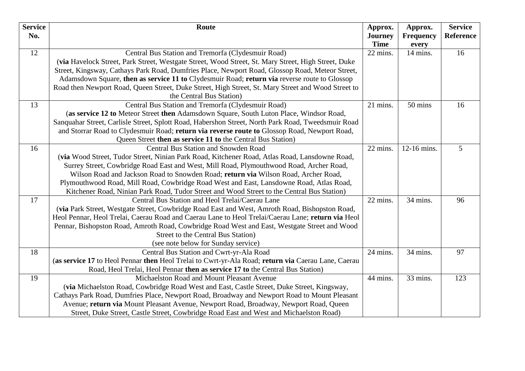| <b>Service</b> | Route                                                                                               | Approx.        | Approx.          | <b>Service</b> |
|----------------|-----------------------------------------------------------------------------------------------------|----------------|------------------|----------------|
| No.            |                                                                                                     | <b>Journey</b> | <b>Frequency</b> | Reference      |
|                |                                                                                                     | <b>Time</b>    | every            |                |
| 12             | Central Bus Station and Tremorfa (Clydesmuir Road)                                                  | 22 mins.       | 14 mins.         | 16             |
|                | (via Havelock Street, Park Street, Westgate Street, Wood Street, St. Mary Street, High Street, Duke |                |                  |                |
|                | Street, Kingsway, Cathays Park Road, Dumfries Place, Newport Road, Glossop Road, Meteor Street,     |                |                  |                |
|                | Adamsdown Square, then as service 11 to Clydesmuir Road; return via reverse route to Glossop        |                |                  |                |
|                | Road then Newport Road, Queen Street, Duke Street, High Street, St. Mary Street and Wood Street to  |                |                  |                |
|                | the Central Bus Station)                                                                            |                |                  |                |
| 13             | Central Bus Station and Tremorfa (Clydesmuir Road)                                                  | 21 mins.       | 50 mins          | 16             |
|                | (as service 12 to Meteor Street then Adamsdown Square, South Luton Place, Windsor Road,             |                |                  |                |
|                | Sanquahar Street, Carlisle Street, Splott Road, Habershon Street, North Park Road, Tweedsmuir Road  |                |                  |                |
|                | and Storrar Road to Clydesmuir Road; return via reverse route to Glossop Road, Newport Road,        |                |                  |                |
|                | Queen Street then as service 11 to the Central Bus Station)                                         |                |                  |                |
| 16             | <b>Central Bus Station and Snowden Road</b>                                                         | 22 mins.       | 12-16 mins.      | 5              |
|                | (via Wood Street, Tudor Street, Ninian Park Road, Kitchener Road, Atlas Road, Lansdowne Road,       |                |                  |                |
|                | Surrey Street, Cowbridge Road East and West, Mill Road, Plymouthwood Road, Archer Road,             |                |                  |                |
|                | Wilson Road and Jackson Road to Snowden Road; return via Wilson Road, Archer Road,                  |                |                  |                |
|                | Plymouthwood Road, Mill Road, Cowbridge Road West and East, Lansdowne Road, Atlas Road,             |                |                  |                |
|                | Kitchener Road, Ninian Park Road, Tudor Street and Wood Street to the Central Bus Station)          |                |                  |                |
| 17             | Central Bus Station and Heol Trelai/Caerau Lane                                                     | 22 mins.       | 34 mins.         | 96             |
|                | (via Park Street, Westgate Street, Cowbridge Road East and West, Amroth Road, Bishopston Road,      |                |                  |                |
|                | Heol Pennar, Heol Trelai, Caerau Road and Caerau Lane to Heol Trelai/Caerau Lane; return via Heol   |                |                  |                |
|                | Pennar, Bishopston Road, Amroth Road, Cowbridge Road West and East, Westgate Street and Wood        |                |                  |                |
|                | Street to the Central Bus Station)                                                                  |                |                  |                |
|                | (see note below for Sunday service)                                                                 |                |                  |                |
| 18             | Central Bus Station and Cwrt-yr-Ala Road                                                            | 24 mins.       | 34 mins.         | 97             |
|                | (as service 17 to Heol Pennar then Heol Trelai to Cwrt-yr-Ala Road; return via Caerau Lane, Caerau  |                |                  |                |
|                | Road, Heol Trelai, Heol Pennar then as service 17 to the Central Bus Station)                       |                |                  |                |
| 19             | Michaelston Road and Mount Pleasant Avenue                                                          | 44 mins.       | 33 mins.         | 123            |
|                | (via Michaelston Road, Cowbridge Road West and East, Castle Street, Duke Street, Kingsway,          |                |                  |                |
|                | Cathays Park Road, Dumfries Place, Newport Road, Broadway and Newport Road to Mount Pleasant        |                |                  |                |
|                | Avenue; return via Mount Pleasant Avenue, Newport Road, Broadway, Newport Road, Queen               |                |                  |                |
|                | Street, Duke Street, Castle Street, Cowbridge Road East and West and Michaelston Road)              |                |                  |                |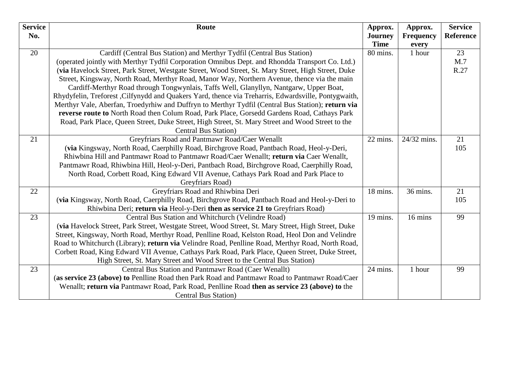| <b>Service</b> | Route                                                                                                | Approx.        | Approx.     | <b>Service</b> |
|----------------|------------------------------------------------------------------------------------------------------|----------------|-------------|----------------|
| No.            |                                                                                                      | <b>Journey</b> | Frequency   | Reference      |
|                |                                                                                                      | <b>Time</b>    | every       |                |
| 20             | Cardiff (Central Bus Station) and Merthyr Tydfil (Central Bus Station)                               | 80 mins.       | 1 hour      | 23             |
|                | (operated jointly with Merthyr Tydfil Corporation Omnibus Dept. and Rhondda Transport Co. Ltd.)      |                |             | M.7            |
|                | (via Havelock Street, Park Street, Westgate Street, Wood Street, St. Mary Street, High Street, Duke  |                |             | R.27           |
|                | Street, Kingsway, North Road, Merthyr Road, Manor Way, Northern Avenue, thence via the main          |                |             |                |
|                | Cardiff-Merthyr Road through Tongwynlais, Taffs Well, Glanyllyn, Nantgarw, Upper Boat,               |                |             |                |
|                | Rhydyfelin, Treforest , Cilfynydd and Quakers Yard, thence via Treharris, Edwardsville, Pontygwaith, |                |             |                |
|                | Merthyr Vale, Aberfan, Troedyrhiw and Duffryn to Merthyr Tydfil (Central Bus Station); return via    |                |             |                |
|                | reverse route to North Road then Colum Road, Park Place, Gorsedd Gardens Road, Cathays Park          |                |             |                |
|                | Road, Park Place, Queen Street, Duke Street, High Street, St. Mary Street and Wood Street to the     |                |             |                |
|                | <b>Central Bus Station</b> )                                                                         |                |             |                |
| 21             | Greyfriars Road and Pantmawr Road/Caer Wenallt                                                       | 22 mins.       | 24/32 mins. | 21             |
|                | (via Kingsway, North Road, Caerphilly Road, Birchgrove Road, Pantbach Road, Heol-y-Deri,             |                |             | 105            |
|                | Rhiwbina Hill and Pantmawr Road to Pantmawr Road/Caer Wenallt; return via Caer Wenallt,              |                |             |                |
|                | Pantmawr Road, Rhiwbina Hill, Heol-y-Deri, Pantbach Road, Birchgrove Road, Caerphilly Road,          |                |             |                |
|                | North Road, Corbett Road, King Edward VII Avenue, Cathays Park Road and Park Place to                |                |             |                |
|                | Greyfriars Road)                                                                                     |                |             |                |
| 22             | Greyfriars Road and Rhiwbina Deri                                                                    | 18 mins.       | 36 mins.    | 21             |
|                | (via Kingsway, North Road, Caerphilly Road, Birchgrove Road, Pantbach Road and Heol-y-Deri to        |                |             | 105            |
|                | Rhiwbina Deri; return via Heol-y-Deri then as service 21 to Greyfriars Road)                         |                |             |                |
| 23             | Central Bus Station and Whitchurch (Velindre Road)                                                   | 19 mins.       | 16 mins     | 99             |
|                | (via Havelock Street, Park Street, Westgate Street, Wood Street, St. Mary Street, High Street, Duke  |                |             |                |
|                | Street, Kingsway, North Road, Merthyr Road, Penlline Road, Kelston Road, Heol Don and Velindre       |                |             |                |
|                | Road to Whitchurch (Library); return via Velindre Road, Penlline Road, Merthyr Road, North Road,     |                |             |                |
|                | Corbett Road, King Edward VII Avenue, Cathays Park Road, Park Place, Queen Street, Duke Street,      |                |             |                |
|                | High Street, St. Mary Street and Wood Street to the Central Bus Station)                             |                |             |                |
| 23             | Central Bus Station and Pantmawr Road (Caer Wenallt)                                                 | 24 mins.       | 1 hour      | 99             |
|                | (as service 23 (above) to Penlline Road then Park Road and Pantmawr Road to Pantmawr Road/Caer       |                |             |                |
|                | Wenallt; return via Pantmawr Road, Park Road, Penlline Road then as service 23 (above) to the        |                |             |                |
|                | <b>Central Bus Station</b> )                                                                         |                |             |                |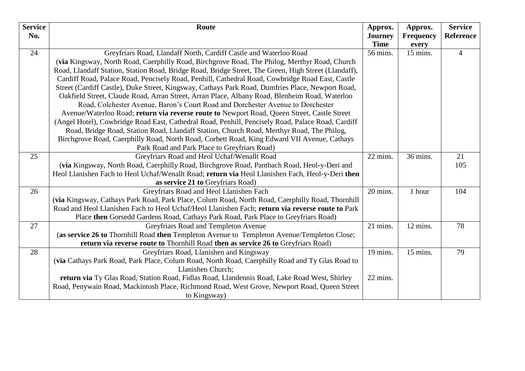| <b>Service</b> | Route                                                                                                | Approx.                       | Approx.                   | <b>Service</b>   |
|----------------|------------------------------------------------------------------------------------------------------|-------------------------------|---------------------------|------------------|
| No.            |                                                                                                      | <b>Journey</b><br><b>Time</b> | <b>Frequency</b><br>every | <b>Reference</b> |
| 24             | Greyfriars Road, Llandaff North, Cardiff Castle and Waterloo Road                                    | 56 mins.                      | 15 mins.                  | $\overline{4}$   |
|                | (via Kingsway, North Road, Caerphilly Road, Birchgrove Road, The Philog, Merthyr Road, Church        |                               |                           |                  |
|                | Road, Llandaff Station, Station Road, Bridge Road, Bridge Street, The Green, High Street (Llandaff), |                               |                           |                  |
|                | Cardiff Road, Palace Road, Pencisely Road, Penhill, Cathedral Road, Cowbridge Road East, Castle      |                               |                           |                  |
|                | Street (Cardiff Castle), Duke Street, Kingsway, Cathays Park Road, Dumfries Place, Newport Road,     |                               |                           |                  |
|                | Oakfield Street, Claude Road, Arran Street, Arran Place, Albany Road, Blenheim Road, Waterloo        |                               |                           |                  |
|                | Road, Colchester Avenue, Baron's Court Road and Dorchester Avenue to Dorchester                      |                               |                           |                  |
|                | Avenue/Waterloo Road; return via reverse route to Newport Road, Queen Street, Castle Street          |                               |                           |                  |
|                | (Angel Hotel), Cowbridge Road East, Cathedral Road, Penhill, Pencisely Road, Palace Road, Cardiff    |                               |                           |                  |
|                | Road, Bridge Road, Station Road, Llandaff Station, Church Road, Merthyr Road, The Philog,            |                               |                           |                  |
|                | Birchgrove Road, Caerphilly Road, North Road, Corbett Road, King Edward VII Avenue, Cathays          |                               |                           |                  |
|                | Park Road and Park Place to Greyfriars Road)                                                         |                               |                           |                  |
| 25             | Greyfriars Road and Heol Uchaf/Wenallt Road                                                          | 22 mins.                      | 36 mins.                  | 21               |
|                | (via Kingsway, North Road, Caerphilly Road, Birchgrove Road, Pantbach Road, Heol-y-Deri and          |                               |                           | 105              |
|                | Heol Llanishen Fach to Heol Uchaf/Wenallt Road; return via Heol Llanishen Fach, Heol-y-Deri then     |                               |                           |                  |
|                | as service 21 to Greyfriars Road)                                                                    |                               |                           |                  |
| 26             | Greyfriars Road and Heol Llanishen Fach                                                              | 20 mins.                      | 1 hour                    | 104              |
|                | (via Kingsway, Cathays Park Road, Park Place, Colum Road, North Road, Caerphilly Road, Thornhill     |                               |                           |                  |
|                | Road and Heol Llanishen Fach to Heol Uchaf/Heol Llanishen Fach; return via reverse route to Park     |                               |                           |                  |
|                | Place then Gorsedd Gardens Road, Cathays Park Road, Park Place to Greyfriars Road)                   |                               |                           |                  |
| 27             | Greyfriars Road and Templeton Avenue                                                                 | 21 mins.                      | 12 mins.                  | 78               |
|                | (as service 26 to Thornhill Road then Templeton Avenue to Templeton Avenue/Templeton Close;          |                               |                           |                  |
|                | return via reverse route to Thornhill Road then as service 26 to Greyfriars Road)                    |                               |                           |                  |
| 28             | Greyfriars Road, Llanishen and Kingsway                                                              | 19 mins.                      | 15 mins.                  | 79               |
|                | (via Cathays Park Road, Park Place, Colum Road, North Road, Caerphilly Road and Ty Glas Road to      |                               |                           |                  |
|                | Llanishen Church;                                                                                    |                               |                           |                  |
|                | return via Ty Glas Road, Station Road, Fidlas Road, Llandennis Road, Lake Road West, Shirley         | 22 mins.                      |                           |                  |
|                | Road, Penywain Road, Mackintosh Place, Richmond Road, West Grove, Newport Road, Queen Street         |                               |                           |                  |
|                | to Kingsway)                                                                                         |                               |                           |                  |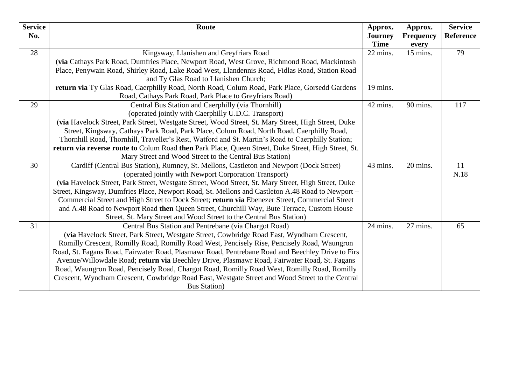| <b>Service</b> | Route                                                                                               | Approx.                       | Approx.                   | <b>Service</b> |
|----------------|-----------------------------------------------------------------------------------------------------|-------------------------------|---------------------------|----------------|
| No.            |                                                                                                     | <b>Journey</b><br><b>Time</b> | <b>Frequency</b><br>every | Reference      |
| 28             | Kingsway, Llanishen and Greyfriars Road                                                             | 22 mins.                      | 15 mins.                  | 79             |
|                | (via Cathays Park Road, Dumfries Place, Newport Road, West Grove, Richmond Road, Mackintosh         |                               |                           |                |
|                | Place, Penywain Road, Shirley Road, Lake Road West, Llandennis Road, Fidlas Road, Station Road      |                               |                           |                |
|                | and Ty Glas Road to Llanishen Church;                                                               |                               |                           |                |
|                | return via Ty Glas Road, Caerphilly Road, North Road, Colum Road, Park Place, Gorsedd Gardens       | 19 mins.                      |                           |                |
|                | Road, Cathays Park Road, Park Place to Greyfriars Road)                                             |                               |                           |                |
| 29             | Central Bus Station and Caerphilly (via Thornhill)                                                  | 42 mins.                      | 90 mins.                  | 117            |
|                | (operated jointly with Caerphilly U.D.C. Transport)                                                 |                               |                           |                |
|                | (via Havelock Street, Park Street, Westgate Street, Wood Street, St. Mary Street, High Street, Duke |                               |                           |                |
|                | Street, Kingsway, Cathays Park Road, Park Place, Colum Road, North Road, Caerphilly Road,           |                               |                           |                |
|                | Thornhill Road, Thornhill, Traveller's Rest, Watford and St. Martin's Road to Caerphilly Station;   |                               |                           |                |
|                | return via reverse route to Colum Road then Park Place, Queen Street, Duke Street, High Street, St. |                               |                           |                |
|                | Mary Street and Wood Street to the Central Bus Station)                                             |                               |                           |                |
| 30             | Cardiff (Central Bus Station), Rumney, St. Mellons, Castleton and Newport (Dock Street)             | 43 mins.                      | 20 mins.                  | 11             |
|                | (operated jointly with Newport Corporation Transport)                                               |                               |                           | N.18           |
|                | (via Havelock Street, Park Street, Westgate Street, Wood Street, St. Mary Street, High Street, Duke |                               |                           |                |
|                | Street, Kingsway, Dumfries Place, Newport Road, St. Mellons and Castleton A.48 Road to Newport –    |                               |                           |                |
|                | Commercial Street and High Street to Dock Street; return via Ebenezer Street, Commercial Street     |                               |                           |                |
|                | and A.48 Road to Newport Road then Queen Street, Churchill Way, Bute Terrace, Custom House          |                               |                           |                |
|                | Street, St. Mary Street and Wood Street to the Central Bus Station)                                 |                               |                           |                |
| 31             | Central Bus Station and Pentrebane (via Chargot Road)                                               | 24 mins.                      | 27 mins.                  | 65             |
|                | (via Havelock Street, Park Street, Westgate Street, Cowbridge Road East, Wyndham Crescent,          |                               |                           |                |
|                | Romilly Crescent, Romilly Road, Romilly Road West, Pencisely Rise, Pencisely Road, Waungron         |                               |                           |                |
|                | Road, St. Fagans Road, Fairwater Road, Plasmawr Road, Pentrebane Road and Beechley Drive to Firs    |                               |                           |                |
|                | Avenue/Willowdale Road; return via Beechley Drive, Plasmawr Road, Fairwater Road, St. Fagans        |                               |                           |                |
|                | Road, Waungron Road, Pencisely Road, Chargot Road, Romilly Road West, Romilly Road, Romilly         |                               |                           |                |
|                | Crescent, Wyndham Crescent, Cowbridge Road East, Westgate Street and Wood Street to the Central     |                               |                           |                |
|                | <b>Bus Station</b> )                                                                                |                               |                           |                |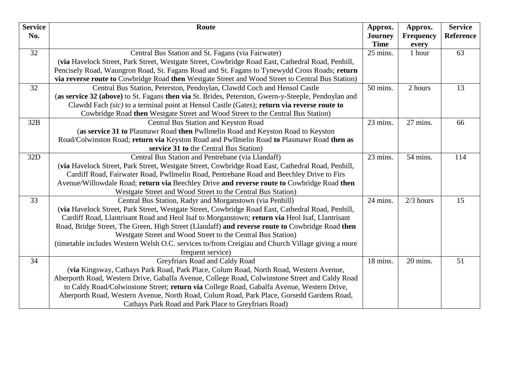| <b>Service</b> | Route                                                                                               | Approx.        | Approx.          | <b>Service</b> |
|----------------|-----------------------------------------------------------------------------------------------------|----------------|------------------|----------------|
| No.            |                                                                                                     | <b>Journey</b> | <b>Frequency</b> | Reference      |
|                |                                                                                                     | <b>Time</b>    | every            |                |
| 32             | Central Bus Station and St. Fagans (via Fairwater)                                                  | 25 mins.       | 1 hour           | 63             |
|                | (via Havelock Street, Park Street, Westgate Street, Cowbridge Road East, Cathedral Road, Penhill,   |                |                  |                |
|                | Pencisely Road, Waungron Road, St. Fagans Road and St. Fagans to Tynewydd Cross Roads; return       |                |                  |                |
|                | via reverse route to Cowbridge Road then Westgate Street and Wood Street to Central Bus Station)    |                |                  |                |
| 32             | Central Bus Station, Peterston, Pendoylan, Clawdd Coch and Hensol Castle                            | 50 mins.       | 2 hours          | 13             |
|                | (as service 32 (above) to St. Fagans then via St. Brides, Peterston, Gwern-y-Steeple, Pendoylan and |                |                  |                |
|                | Clawdd Fach (sic) to a terminal point at Hensol Castle (Gates); return via reverse route to         |                |                  |                |
|                | Cowbridge Road then Westgate Street and Wood Street to the Central Bus Station)                     |                |                  |                |
| 32B            | Central Bus Station and Keyston Road                                                                | 23 mins.       | 27 mins.         | 66             |
|                | (as service 31 to Plasmawr Road then Pwllmelin Road and Keyston Road to Keyston                     |                |                  |                |
|                | Road/Colwinston Road; return via Keyston Road and Pwllmelin Road to Plasmawr Road then as           |                |                  |                |
|                | service 31 to the Central Bus Station)                                                              |                |                  |                |
| 32D            | Central Bus Station and Pentrebane (via Llandaff)                                                   | 23 mins.       | 54 mins.         | 114            |
|                | (via Havelock Street, Park Street, Westgate Street, Cowbridge Road East, Cathedral Road, Penhill,   |                |                  |                |
|                | Cardiff Road, Fairwater Road, Pwllmelin Road, Pentrebane Road and Beechley Drive to Firs            |                |                  |                |
|                | Avenue/Willowdale Road; return via Beechley Drive and reverse route to Cowbridge Road then          |                |                  |                |
|                | Westgate Street and Wood Street to the Central Bus Station)                                         |                |                  |                |
| 33             | Central Bus Station, Radyr and Morganstown (via Penhill)                                            | 24 mins.       | $2/3$ hours      | 15             |
|                | (via Havelock Street, Park Street, Westgate Street, Cowbridge Road East, Cathedral Road, Penhill,   |                |                  |                |
|                | Cardiff Road, Llantrisant Road and Heol Isaf to Morganstown; return via Heol Isaf, Llantrisant      |                |                  |                |
|                | Road, Bridge Street, The Green, High Street (Llandaff) and reverse route to Cowbridge Road then     |                |                  |                |
|                | Westgate Street and Wood Street to the Central Bus Station)                                         |                |                  |                |
|                | (timetable includes Western Welsh O.C. services to/from Creigiau and Church Village giving a more   |                |                  |                |
|                | frequent service)                                                                                   |                |                  |                |
| 34             | Greyfriars Road and Caldy Road                                                                      | 18 mins.       | 20 mins.         | 51             |
|                | (via Kingsway, Cathays Park Road, Park Place, Colum Road, North Road, Western Avenue,               |                |                  |                |
|                | Aberporth Road, Western Drive, Gabalfa Avenue, College Road, Colwinstone Street and Caldy Road      |                |                  |                |
|                | to Caldy Road/Colwinstone Street; return via College Road, Gabalfa Avenue, Western Drive,           |                |                  |                |
|                | Aberporth Road, Western Avenue, North Road, Colum Road, Park Place, Gorsedd Gardens Road,           |                |                  |                |
|                | Cathays Park Road and Park Place to Greyfriars Road)                                                |                |                  |                |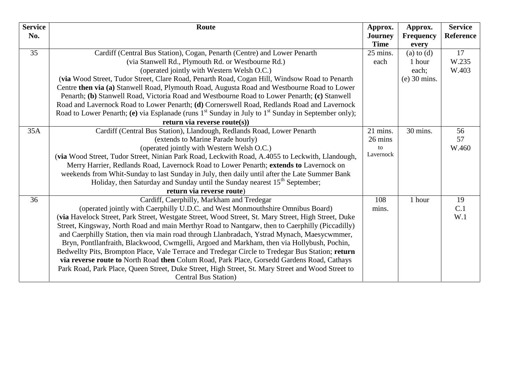| <b>Service</b> | Route                                                                                                         | Approx.        | Approx.          | <b>Service</b>   |
|----------------|---------------------------------------------------------------------------------------------------------------|----------------|------------------|------------------|
| No.            |                                                                                                               | <b>Journey</b> | <b>Frequency</b> | <b>Reference</b> |
|                |                                                                                                               | <b>Time</b>    | every            |                  |
| 35             | Cardiff (Central Bus Station), Cogan, Penarth (Centre) and Lower Penarth                                      | 25 mins.       | $(a)$ to $(d)$   | 17               |
|                | (via Stanwell Rd., Plymouth Rd. or Westbourne Rd.)                                                            | each           | 1 hour           | W.235            |
|                | (operated jointly with Western Welsh O.C.)                                                                    |                | each;            | W.403            |
|                | (via Wood Street, Tudor Street, Clare Road, Penarth Road, Cogan Hill, Windsow Road to Penarth                 |                | $(e)$ 30 mins.   |                  |
|                | Centre then via (a) Stanwell Road, Plymouth Road, Augusta Road and Westbourne Road to Lower                   |                |                  |                  |
|                | Penarth; (b) Stanwell Road, Victoria Road and Westbourne Road to Lower Penarth; (c) Stanwell                  |                |                  |                  |
|                | Road and Lavernock Road to Lower Penarth; (d) Cornerswell Road, Redlands Road and Lavernock                   |                |                  |                  |
|                | Road to Lower Penarth; (e) via Esplanade (runs $1^{st}$ Sunday in July to $1^{st}$ Sunday in September only); |                |                  |                  |
|                | return via reverse route $(s)$ )                                                                              |                |                  |                  |
| 35A            | Cardiff (Central Bus Station), Llandough, Redlands Road, Lower Penarth                                        | 21 mins.       | 30 mins.         | 56               |
|                | (extends to Marine Parade hourly)                                                                             | 26 mins        |                  | 57               |
|                | (operated jointly with Western Welsh O.C.)                                                                    | to             |                  | W.460            |
|                | (via Wood Street, Tudor Street, Ninian Park Road, Leckwith Road, A.4055 to Leckwith, Llandough,               | Lavernock      |                  |                  |
|                | Merry Harrier, Redlands Road, Lavernock Road to Lower Penarth; extends to Lavernock on                        |                |                  |                  |
|                | weekends from Whit-Sunday to last Sunday in July, then daily until after the Late Summer Bank                 |                |                  |                  |
|                | Holiday, then Saturday and Sunday until the Sunday nearest 15 <sup>th</sup> September;                        |                |                  |                  |
|                | return via reverse route)                                                                                     |                |                  |                  |
| 36             | Cardiff, Caerphilly, Markham and Tredegar                                                                     | 108            | 1 hour           | 19               |
|                | (operated jointly with Caerphilly U.D.C. and West Monmouthshire Omnibus Board)                                | mins.          |                  | C.1              |
|                | (via Havelock Street, Park Street, Westgate Street, Wood Street, St. Mary Street, High Street, Duke           |                |                  | W.1              |
|                | Street, Kingsway, North Road and main Merthyr Road to Nantgarw, then to Caerphilly (Piccadilly)               |                |                  |                  |
|                | and Caerphilly Station, then via main road through Llanbradach, Ystrad Mynach, Maesycwmmer,                   |                |                  |                  |
|                | Bryn, Pontllanfraith, Blackwood, Cwmgelli, Argoed and Markham, then via Hollybush, Pochin,                    |                |                  |                  |
|                | Bedwellty Pits, Brompton Place, Vale Terrace and Tredegar Circle to Tredegar Bus Station; return              |                |                  |                  |
|                | via reverse route to North Road then Colum Road, Park Place, Gorsedd Gardens Road, Cathays                    |                |                  |                  |
|                | Park Road, Park Place, Queen Street, Duke Street, High Street, St. Mary Street and Wood Street to             |                |                  |                  |
|                | <b>Central Bus Station</b> )                                                                                  |                |                  |                  |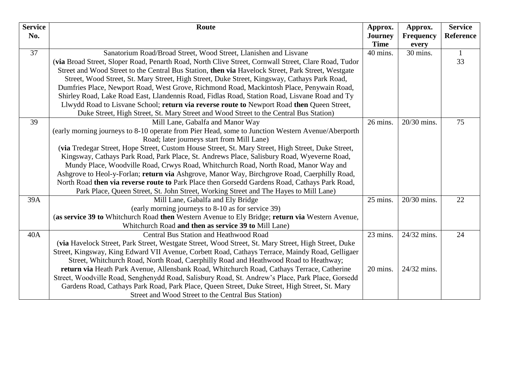| <b>Service</b> | Route                                                                                                | Approx.        | Approx.                  | <b>Service</b>   |
|----------------|------------------------------------------------------------------------------------------------------|----------------|--------------------------|------------------|
| No.            |                                                                                                      | <b>Journey</b> | <b>Frequency</b>         | <b>Reference</b> |
|                |                                                                                                      | <b>Time</b>    | every                    |                  |
| 37             | Sanatorium Road/Broad Street, Wood Street, Llanishen and Lisvane                                     | 40 mins.       | 30 mins.                 | 1                |
|                | (via Broad Street, Sloper Road, Penarth Road, North Clive Street, Cornwall Street, Clare Road, Tudor |                |                          | 33               |
|                | Street and Wood Street to the Central Bus Station, then via Havelock Street, Park Street, Westgate   |                |                          |                  |
|                | Street, Wood Street, St. Mary Street, High Street, Duke Street, Kingsway, Cathays Park Road,         |                |                          |                  |
|                | Dumfries Place, Newport Road, West Grove, Richmond Road, Mackintosh Place, Penywain Road,            |                |                          |                  |
|                | Shirley Road, Lake Road East, Llandennis Road, Fidlas Road, Station Road, Lisvane Road and Ty        |                |                          |                  |
|                | Llwydd Road to Lisvane School; return via reverse route to Newport Road then Queen Street,           |                |                          |                  |
|                | Duke Street, High Street, St. Mary Street and Wood Street to the Central Bus Station)                |                |                          |                  |
| 39             | Mill Lane, Gabalfa and Manor Way                                                                     | 26 mins.       | 20/30 mins.              | 75               |
|                | (early morning journeys to 8-10 operate from Pier Head, some to Junction Western Avenue/Aberporth    |                |                          |                  |
|                | Road; later journeys start from Mill Lane)                                                           |                |                          |                  |
|                | (via Tredegar Street, Hope Street, Custom House Street, St. Mary Street, High Street, Duke Street,   |                |                          |                  |
|                | Kingsway, Cathays Park Road, Park Place, St. Andrews Place, Salisbury Road, Wyeverne Road,           |                |                          |                  |
|                | Mundy Place, Woodville Road, Crwys Road, Whitchurch Road, North Road, Manor Way and                  |                |                          |                  |
|                | Ashgrove to Heol-y-Forlan; return via Ashgrove, Manor Way, Birchgrove Road, Caerphilly Road,         |                |                          |                  |
|                | North Road then via reverse route to Park Place then Gorsedd Gardens Road, Cathays Park Road,        |                |                          |                  |
|                | Park Place, Queen Street, St. John Street, Working Street and The Hayes to Mill Lane)                |                |                          |                  |
| 39A            | Mill Lane, Gabalfa and Ely Bridge                                                                    | 25 mins.       | $\overline{20/30}$ mins. | 22               |
|                | (early morning journeys to 8-10 as for service 39)                                                   |                |                          |                  |
|                | (as service 39 to Whitchurch Road then Western Avenue to Ely Bridge; return via Western Avenue,      |                |                          |                  |
|                | Whitchurch Road and then as service 39 to Mill Lane)                                                 |                |                          |                  |
| 40A            | Central Bus Station and Heathwood Road                                                               | 23 mins.       | 24/32 mins.              | 24               |
|                | (via Havelock Street, Park Street, Westgate Street, Wood Street, St. Mary Street, High Street, Duke  |                |                          |                  |
|                | Street, Kingsway, King Edward VII Avenue, Corbett Road, Cathays Terrace, Maindy Road, Gelligaer      |                |                          |                  |
|                | Street, Whitchurch Road, North Road, Caerphilly Road and Heathwood Road to Heathway;                 |                |                          |                  |
|                | return via Heath Park Avenue, Allensbank Road, Whitchurch Road, Cathays Terrace, Catherine           | 20 mins.       | 24/32 mins.              |                  |
|                | Street, Woodville Road, Senghenydd Road, Salisbury Road, St. Andrew's Place, Park Place, Gorsedd     |                |                          |                  |
|                | Gardens Road, Cathays Park Road, Park Place, Queen Street, Duke Street, High Street, St. Mary        |                |                          |                  |
|                | Street and Wood Street to the Central Bus Station)                                                   |                |                          |                  |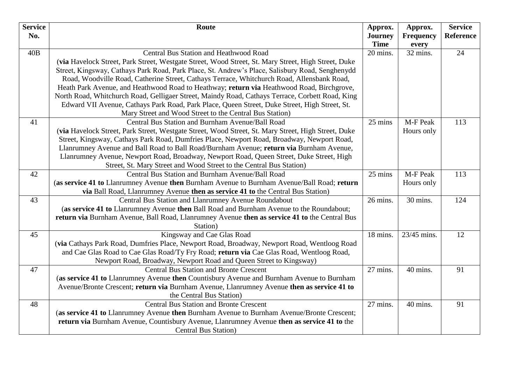| <b>Service</b><br>No. | Route                                                                                               | Approx.                       | Approx.<br><b>Frequency</b> | <b>Service</b><br><b>Reference</b> |
|-----------------------|-----------------------------------------------------------------------------------------------------|-------------------------------|-----------------------------|------------------------------------|
|                       |                                                                                                     | <b>Journey</b><br><b>Time</b> | every                       |                                    |
| 40B                   | Central Bus Station and Heathwood Road                                                              | 20 mins.                      | 32 mins.                    | 24                                 |
|                       | (via Havelock Street, Park Street, Westgate Street, Wood Street, St. Mary Street, High Street, Duke |                               |                             |                                    |
|                       | Street, Kingsway, Cathays Park Road, Park Place, St. Andrew's Place, Salisbury Road, Senghenydd     |                               |                             |                                    |
|                       | Road, Woodville Road, Catherine Street, Cathays Terrace, Whitchurch Road, Allensbank Road,          |                               |                             |                                    |
|                       | Heath Park Avenue, and Heathwood Road to Heathway; return via Heathwood Road, Birchgrove,           |                               |                             |                                    |
|                       | North Road, Whitchurch Road, Gelligaer Street, Maindy Road, Cathays Terrace, Corbett Road, King     |                               |                             |                                    |
|                       | Edward VII Avenue, Cathays Park Road, Park Place, Queen Street, Duke Street, High Street, St.       |                               |                             |                                    |
|                       | Mary Street and Wood Street to the Central Bus Station)                                             |                               |                             |                                    |
| 41                    | Central Bus Station and Burnham Avenue/Ball Road                                                    | 25 mins                       | M-F Peak                    | 113                                |
|                       | (via Havelock Street, Park Street, Westgate Street, Wood Street, St. Mary Street, High Street, Duke |                               | Hours only                  |                                    |
|                       | Street, Kingsway, Cathays Park Road, Dumfries Place, Newport Road, Broadway, Newport Road,          |                               |                             |                                    |
|                       | Llanrumney Avenue and Ball Road to Ball Road/Burnham Avenue; return via Burnham Avenue,             |                               |                             |                                    |
|                       | Llanrumney Avenue, Newport Road, Broadway, Newport Road, Queen Street, Duke Street, High            |                               |                             |                                    |
|                       | Street, St. Mary Street and Wood Street to the Central Bus Station)                                 |                               |                             |                                    |
| 42                    | Central Bus Station and Burnham Avenue/Ball Road                                                    | 25 mins                       | M-F Peak                    | 113                                |
|                       | (as service 41 to Llanrumney Avenue then Burnham Avenue to Burnham Avenue/Ball Road; return         |                               | Hours only                  |                                    |
|                       | via Ball Road, Llanrumney Avenue then as service 41 to the Central Bus Station)                     |                               |                             |                                    |
| 43                    | Central Bus Station and Llanrumney Avenue Roundabout                                                | 26 mins.                      | 30 mins.                    | 124                                |
|                       | (as service 41 to Llanrumney Avenue then Ball Road and Burnham Avenue to the Roundabout;            |                               |                             |                                    |
|                       | return via Burnham Avenue, Ball Road, Llanrumney Avenue then as service 41 to the Central Bus       |                               |                             |                                    |
|                       | Station)                                                                                            |                               |                             |                                    |
| 45                    | Kingsway and Cae Glas Road                                                                          | 18 mins.                      | 23/45 mins.                 | 12                                 |
|                       | (via Cathays Park Road, Dumfries Place, Newport Road, Broadway, Newport Road, Wentloog Road         |                               |                             |                                    |
|                       | and Cae Glas Road to Cae Glas Road/Ty Fry Road; return via Cae Glas Road, Wentloog Road,            |                               |                             |                                    |
|                       | Newport Road, Broadway, Newport Road and Queen Street to Kingsway)                                  |                               |                             |                                    |
| 47                    | <b>Central Bus Station and Bronte Crescent</b>                                                      | 27 mins.                      | 40 mins.                    | 91                                 |
|                       | (as service 41 to Llanrumney Avenue then Countisbury Avenue and Burnham Avenue to Burnham           |                               |                             |                                    |
|                       | Avenue/Bronte Crescent; return via Burnham Avenue, Llanrumney Avenue then as service 41 to          |                               |                             |                                    |
|                       | the Central Bus Station)                                                                            |                               |                             |                                    |
| 48                    | <b>Central Bus Station and Bronte Crescent</b>                                                      | 27 mins.                      | 40 mins.                    | 91                                 |
|                       | (as service 41 to Llanrumney Avenue then Burnham Avenue to Burnham Avenue/Bronte Crescent;          |                               |                             |                                    |
|                       | return via Burnham Avenue, Countisbury Avenue, Llanrumney Avenue then as service 41 to the          |                               |                             |                                    |
|                       | <b>Central Bus Station</b> )                                                                        |                               |                             |                                    |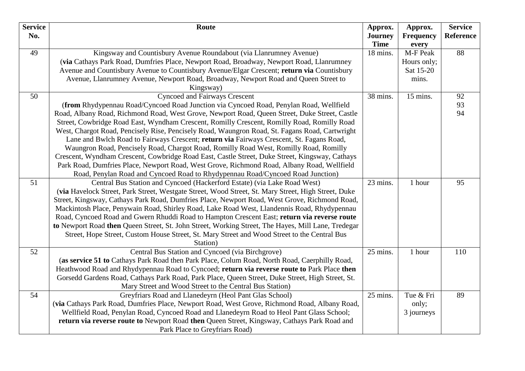| <b>Service</b> | Route                                                                                                                                                                                      | Approx.                 | Approx.           | <b>Service</b> |
|----------------|--------------------------------------------------------------------------------------------------------------------------------------------------------------------------------------------|-------------------------|-------------------|----------------|
| No.            |                                                                                                                                                                                            | <b>Journey</b>          | <b>Frequency</b>  | Reference      |
| 49             | Kingsway and Countisbury Avenue Roundabout (via Llanrumney Avenue)                                                                                                                         | <b>Time</b><br>18 mins. | every<br>M-F Peak | 88             |
|                | (via Cathays Park Road, Dumfries Place, Newport Road, Broadway, Newport Road, Llanrumney                                                                                                   |                         | Hours only;       |                |
|                | Avenue and Countisbury Avenue to Countisbury Avenue/Elgar Crescent; return via Countisbury                                                                                                 |                         | Sat 15-20         |                |
|                | Avenue, Llanrumney Avenue, Newport Road, Broadway, Newport Road and Queen Street to                                                                                                        |                         | mins.             |                |
|                | Kingsway)                                                                                                                                                                                  |                         |                   |                |
| 50             | <b>Cyncoed and Fairways Crescent</b>                                                                                                                                                       | 38 mins.                | 15 mins.          | 92             |
|                | (from Rhydypennau Road/Cyncoed Road Junction via Cyncoed Road, Penylan Road, Wellfield                                                                                                     |                         |                   | 93             |
|                | Road, Albany Road, Richmond Road, West Grove, Newport Road, Queen Street, Duke Street, Castle                                                                                              |                         |                   | 94             |
|                | Street, Cowbridge Road East, Wyndham Crescent, Romilly Crescent, Romilly Road, Romilly Road                                                                                                |                         |                   |                |
|                | West, Chargot Road, Pencisely Rise, Pencisely Road, Waungron Road, St. Fagans Road, Cartwright                                                                                             |                         |                   |                |
|                | Lane and Bwlch Road to Fairways Crescent; return via Fairways Crescent, St. Fagans Road,                                                                                                   |                         |                   |                |
|                | Waungron Road, Pencisely Road, Chargot Road, Romilly Road West, Romilly Road, Romilly                                                                                                      |                         |                   |                |
|                | Crescent, Wyndham Crescent, Cowbridge Road East, Castle Street, Duke Street, Kingsway, Cathays                                                                                             |                         |                   |                |
|                | Park Road, Dumfries Place, Newport Road, West Grove, Richmond Road, Albany Road, Wellfield                                                                                                 |                         |                   |                |
|                | Road, Penylan Road and Cyncoed Road to Rhydypennau Road/Cyncoed Road Junction)                                                                                                             |                         |                   |                |
| 51             | Central Bus Station and Cyncoed (Hackerford Estate) (via Lake Road West)                                                                                                                   | 23 mins.                | 1 hour            | 95             |
|                | (via Havelock Street, Park Street, Westgate Street, Wood Street, St. Mary Street, High Street, Duke                                                                                        |                         |                   |                |
|                | Street, Kingsway, Cathays Park Road, Dumfries Place, Newport Road, West Grove, Richmond Road,                                                                                              |                         |                   |                |
|                | Mackintosh Place, Penywain Road, Shirley Road, Lake Road West, Llandennis Road, Rhydypennau<br>Road, Cyncoed Road and Gwern Rhuddi Road to Hampton Crescent East; return via reverse route |                         |                   |                |
|                | to Newport Road then Queen Street, St. John Street, Working Street, The Hayes, Mill Lane, Tredegar                                                                                         |                         |                   |                |
|                | Street, Hope Street, Custom House Street, St. Mary Street and Wood Street to the Central Bus                                                                                               |                         |                   |                |
|                | Station)                                                                                                                                                                                   |                         |                   |                |
| 52             | Central Bus Station and Cyncoed (via Birchgrove)                                                                                                                                           | 25 mins.                | 1 hour            | 110            |
|                | (as service 51 to Cathays Park Road then Park Place, Colum Road, North Road, Caerphilly Road,                                                                                              |                         |                   |                |
|                | Heathwood Road and Rhydypennau Road to Cyncoed; return via reverse route to Park Place then                                                                                                |                         |                   |                |
|                | Gorsedd Gardens Road, Cathays Park Road, Park Place, Queen Street, Duke Street, High Street, St.                                                                                           |                         |                   |                |
|                | Mary Street and Wood Street to the Central Bus Station)                                                                                                                                    |                         |                   |                |
| 54             | Greyfriars Road and Llanedeyrn (Heol Pant Glas School)                                                                                                                                     | 25 mins.                | Tue & Fri         | 89             |
|                | (via Cathays Park Road, Dumfries Place, Newport Road, West Grove, Richmond Road, Albany Road,                                                                                              |                         | only;             |                |
|                | Wellfield Road, Penylan Road, Cyncoed Road and Llanedeyrn Road to Heol Pant Glass School;                                                                                                  |                         | 3 journeys        |                |
|                | return via reverse route to Newport Road then Queen Street, Kingsway, Cathays Park Road and                                                                                                |                         |                   |                |
|                | Park Place to Greyfriars Road)                                                                                                                                                             |                         |                   |                |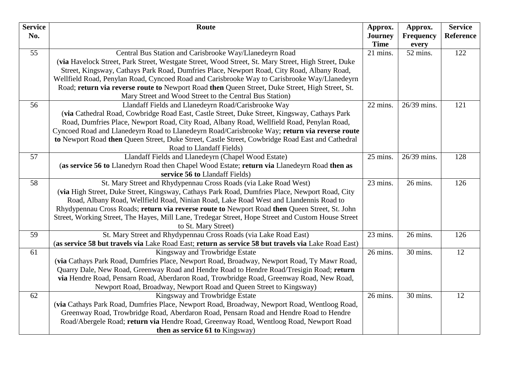| <b>Time</b><br>every<br>55<br>21 mins.<br>52 mins.<br>Central Bus Station and Carisbrooke Way/Llanedeyrn Road<br>122<br>(via Havelock Street, Park Street, Westgate Street, Wood Street, St. Mary Street, High Street, Duke<br>Street, Kingsway, Cathays Park Road, Dumfries Place, Newport Road, City Road, Albany Road,<br>Wellfield Road, Penylan Road, Cyncoed Road and Carisbrooke Way to Carisbrooke Way/Llanedeyrn<br>Road; return via reverse route to Newport Road then Queen Street, Duke Street, High Street, St.<br>Mary Street and Wood Street to the Central Bus Station)<br>Llandaff Fields and Llanedeyrn Road/Carisbrooke Way<br>56<br>22 mins.<br>26/39 mins.<br>121<br>(via Cathedral Road, Cowbridge Road East, Castle Street, Duke Street, Kingsway, Cathays Park<br>Road, Dumfries Place, Newport Road, City Road, Albany Road, Wellfield Road, Penylan Road,<br>Cyncoed Road and Llanedeyrn Road to Llanedeyrn Road/Carisbrooke Way; return via reverse route<br>to Newport Road then Queen Street, Duke Street, Castle Street, Cowbridge Road East and Cathedral<br>Road to Llandaff Fields)<br>57<br>Llandaff Fields and Llanedeyrn (Chapel Wood Estate)<br>25 mins.<br>26/39 mins.<br>128<br>(as service 56 to Llanedyrn Road then Chapel Wood Estate; return via Llanedeyrn Road then as<br>service 56 to Llandaff Fields)<br>St. Mary Street and Rhydypennau Cross Roads (via Lake Road West)<br>58<br>26 mins.<br>23 mins.<br>126<br>(via High Street, Duke Street, Kingsway, Cathays Park Road, Dumfries Place, Newport Road, City<br>Road, Albany Road, Wellfield Road, Ninian Road, Lake Road West and Llandennis Road to<br>Rhydypennau Cross Roads; return via reverse route to Newport Road then Queen Street, St. John<br>Street, Working Street, The Hayes, Mill Lane, Tredegar Street, Hope Street and Custom House Street<br>to St. Mary Street)<br>St. Mary Street and Rhydypennau Cross Roads (via Lake Road East)<br>59<br>23 mins.<br>26 mins.<br>126<br>(as service 58 but travels via Lake Road East; return as service 58 but travels via Lake Road East)<br>12<br>61<br>Kingsway and Trowbridge Estate<br>26 mins.<br>30 mins.<br>(via Cathays Park Road, Dumfries Place, Newport Road, Broadway, Newport Road, Ty Mawr Road,<br>Quarry Dale, New Road, Greenway Road and Hendre Road to Hendre Road/Tresigin Road; return<br>via Hendre Road, Pensarn Road, Aberdaron Road, Trowbridge Road, Greenway Road, New Road, | <b>Service</b> | Route                                                              | Approx.        | Approx.          | <b>Service</b> |
|-----------------------------------------------------------------------------------------------------------------------------------------------------------------------------------------------------------------------------------------------------------------------------------------------------------------------------------------------------------------------------------------------------------------------------------------------------------------------------------------------------------------------------------------------------------------------------------------------------------------------------------------------------------------------------------------------------------------------------------------------------------------------------------------------------------------------------------------------------------------------------------------------------------------------------------------------------------------------------------------------------------------------------------------------------------------------------------------------------------------------------------------------------------------------------------------------------------------------------------------------------------------------------------------------------------------------------------------------------------------------------------------------------------------------------------------------------------------------------------------------------------------------------------------------------------------------------------------------------------------------------------------------------------------------------------------------------------------------------------------------------------------------------------------------------------------------------------------------------------------------------------------------------------------------------------------------------------------------------------------------------------------------------------------------------------------------------------------------------------------------------------------------------------------------------------------------------------------------------------------------------------------------------------------------------------------------------------------------------------------------------------------------------------------------------------------------------------------------|----------------|--------------------------------------------------------------------|----------------|------------------|----------------|
|                                                                                                                                                                                                                                                                                                                                                                                                                                                                                                                                                                                                                                                                                                                                                                                                                                                                                                                                                                                                                                                                                                                                                                                                                                                                                                                                                                                                                                                                                                                                                                                                                                                                                                                                                                                                                                                                                                                                                                                                                                                                                                                                                                                                                                                                                                                                                                                                                                                                       | No.            |                                                                    | <b>Journey</b> | <b>Frequency</b> | Reference      |
|                                                                                                                                                                                                                                                                                                                                                                                                                                                                                                                                                                                                                                                                                                                                                                                                                                                                                                                                                                                                                                                                                                                                                                                                                                                                                                                                                                                                                                                                                                                                                                                                                                                                                                                                                                                                                                                                                                                                                                                                                                                                                                                                                                                                                                                                                                                                                                                                                                                                       |                |                                                                    |                |                  |                |
|                                                                                                                                                                                                                                                                                                                                                                                                                                                                                                                                                                                                                                                                                                                                                                                                                                                                                                                                                                                                                                                                                                                                                                                                                                                                                                                                                                                                                                                                                                                                                                                                                                                                                                                                                                                                                                                                                                                                                                                                                                                                                                                                                                                                                                                                                                                                                                                                                                                                       |                |                                                                    |                |                  |                |
|                                                                                                                                                                                                                                                                                                                                                                                                                                                                                                                                                                                                                                                                                                                                                                                                                                                                                                                                                                                                                                                                                                                                                                                                                                                                                                                                                                                                                                                                                                                                                                                                                                                                                                                                                                                                                                                                                                                                                                                                                                                                                                                                                                                                                                                                                                                                                                                                                                                                       |                |                                                                    |                |                  |                |
|                                                                                                                                                                                                                                                                                                                                                                                                                                                                                                                                                                                                                                                                                                                                                                                                                                                                                                                                                                                                                                                                                                                                                                                                                                                                                                                                                                                                                                                                                                                                                                                                                                                                                                                                                                                                                                                                                                                                                                                                                                                                                                                                                                                                                                                                                                                                                                                                                                                                       |                |                                                                    |                |                  |                |
|                                                                                                                                                                                                                                                                                                                                                                                                                                                                                                                                                                                                                                                                                                                                                                                                                                                                                                                                                                                                                                                                                                                                                                                                                                                                                                                                                                                                                                                                                                                                                                                                                                                                                                                                                                                                                                                                                                                                                                                                                                                                                                                                                                                                                                                                                                                                                                                                                                                                       |                |                                                                    |                |                  |                |
|                                                                                                                                                                                                                                                                                                                                                                                                                                                                                                                                                                                                                                                                                                                                                                                                                                                                                                                                                                                                                                                                                                                                                                                                                                                                                                                                                                                                                                                                                                                                                                                                                                                                                                                                                                                                                                                                                                                                                                                                                                                                                                                                                                                                                                                                                                                                                                                                                                                                       |                |                                                                    |                |                  |                |
|                                                                                                                                                                                                                                                                                                                                                                                                                                                                                                                                                                                                                                                                                                                                                                                                                                                                                                                                                                                                                                                                                                                                                                                                                                                                                                                                                                                                                                                                                                                                                                                                                                                                                                                                                                                                                                                                                                                                                                                                                                                                                                                                                                                                                                                                                                                                                                                                                                                                       |                |                                                                    |                |                  |                |
|                                                                                                                                                                                                                                                                                                                                                                                                                                                                                                                                                                                                                                                                                                                                                                                                                                                                                                                                                                                                                                                                                                                                                                                                                                                                                                                                                                                                                                                                                                                                                                                                                                                                                                                                                                                                                                                                                                                                                                                                                                                                                                                                                                                                                                                                                                                                                                                                                                                                       |                |                                                                    |                |                  |                |
|                                                                                                                                                                                                                                                                                                                                                                                                                                                                                                                                                                                                                                                                                                                                                                                                                                                                                                                                                                                                                                                                                                                                                                                                                                                                                                                                                                                                                                                                                                                                                                                                                                                                                                                                                                                                                                                                                                                                                                                                                                                                                                                                                                                                                                                                                                                                                                                                                                                                       |                |                                                                    |                |                  |                |
|                                                                                                                                                                                                                                                                                                                                                                                                                                                                                                                                                                                                                                                                                                                                                                                                                                                                                                                                                                                                                                                                                                                                                                                                                                                                                                                                                                                                                                                                                                                                                                                                                                                                                                                                                                                                                                                                                                                                                                                                                                                                                                                                                                                                                                                                                                                                                                                                                                                                       |                |                                                                    |                |                  |                |
|                                                                                                                                                                                                                                                                                                                                                                                                                                                                                                                                                                                                                                                                                                                                                                                                                                                                                                                                                                                                                                                                                                                                                                                                                                                                                                                                                                                                                                                                                                                                                                                                                                                                                                                                                                                                                                                                                                                                                                                                                                                                                                                                                                                                                                                                                                                                                                                                                                                                       |                |                                                                    |                |                  |                |
|                                                                                                                                                                                                                                                                                                                                                                                                                                                                                                                                                                                                                                                                                                                                                                                                                                                                                                                                                                                                                                                                                                                                                                                                                                                                                                                                                                                                                                                                                                                                                                                                                                                                                                                                                                                                                                                                                                                                                                                                                                                                                                                                                                                                                                                                                                                                                                                                                                                                       |                |                                                                    |                |                  |                |
|                                                                                                                                                                                                                                                                                                                                                                                                                                                                                                                                                                                                                                                                                                                                                                                                                                                                                                                                                                                                                                                                                                                                                                                                                                                                                                                                                                                                                                                                                                                                                                                                                                                                                                                                                                                                                                                                                                                                                                                                                                                                                                                                                                                                                                                                                                                                                                                                                                                                       |                |                                                                    |                |                  |                |
|                                                                                                                                                                                                                                                                                                                                                                                                                                                                                                                                                                                                                                                                                                                                                                                                                                                                                                                                                                                                                                                                                                                                                                                                                                                                                                                                                                                                                                                                                                                                                                                                                                                                                                                                                                                                                                                                                                                                                                                                                                                                                                                                                                                                                                                                                                                                                                                                                                                                       |                |                                                                    |                |                  |                |
|                                                                                                                                                                                                                                                                                                                                                                                                                                                                                                                                                                                                                                                                                                                                                                                                                                                                                                                                                                                                                                                                                                                                                                                                                                                                                                                                                                                                                                                                                                                                                                                                                                                                                                                                                                                                                                                                                                                                                                                                                                                                                                                                                                                                                                                                                                                                                                                                                                                                       |                |                                                                    |                |                  |                |
|                                                                                                                                                                                                                                                                                                                                                                                                                                                                                                                                                                                                                                                                                                                                                                                                                                                                                                                                                                                                                                                                                                                                                                                                                                                                                                                                                                                                                                                                                                                                                                                                                                                                                                                                                                                                                                                                                                                                                                                                                                                                                                                                                                                                                                                                                                                                                                                                                                                                       |                |                                                                    |                |                  |                |
|                                                                                                                                                                                                                                                                                                                                                                                                                                                                                                                                                                                                                                                                                                                                                                                                                                                                                                                                                                                                                                                                                                                                                                                                                                                                                                                                                                                                                                                                                                                                                                                                                                                                                                                                                                                                                                                                                                                                                                                                                                                                                                                                                                                                                                                                                                                                                                                                                                                                       |                |                                                                    |                |                  |                |
|                                                                                                                                                                                                                                                                                                                                                                                                                                                                                                                                                                                                                                                                                                                                                                                                                                                                                                                                                                                                                                                                                                                                                                                                                                                                                                                                                                                                                                                                                                                                                                                                                                                                                                                                                                                                                                                                                                                                                                                                                                                                                                                                                                                                                                                                                                                                                                                                                                                                       |                |                                                                    |                |                  |                |
|                                                                                                                                                                                                                                                                                                                                                                                                                                                                                                                                                                                                                                                                                                                                                                                                                                                                                                                                                                                                                                                                                                                                                                                                                                                                                                                                                                                                                                                                                                                                                                                                                                                                                                                                                                                                                                                                                                                                                                                                                                                                                                                                                                                                                                                                                                                                                                                                                                                                       |                |                                                                    |                |                  |                |
|                                                                                                                                                                                                                                                                                                                                                                                                                                                                                                                                                                                                                                                                                                                                                                                                                                                                                                                                                                                                                                                                                                                                                                                                                                                                                                                                                                                                                                                                                                                                                                                                                                                                                                                                                                                                                                                                                                                                                                                                                                                                                                                                                                                                                                                                                                                                                                                                                                                                       |                |                                                                    |                |                  |                |
|                                                                                                                                                                                                                                                                                                                                                                                                                                                                                                                                                                                                                                                                                                                                                                                                                                                                                                                                                                                                                                                                                                                                                                                                                                                                                                                                                                                                                                                                                                                                                                                                                                                                                                                                                                                                                                                                                                                                                                                                                                                                                                                                                                                                                                                                                                                                                                                                                                                                       |                |                                                                    |                |                  |                |
|                                                                                                                                                                                                                                                                                                                                                                                                                                                                                                                                                                                                                                                                                                                                                                                                                                                                                                                                                                                                                                                                                                                                                                                                                                                                                                                                                                                                                                                                                                                                                                                                                                                                                                                                                                                                                                                                                                                                                                                                                                                                                                                                                                                                                                                                                                                                                                                                                                                                       |                |                                                                    |                |                  |                |
|                                                                                                                                                                                                                                                                                                                                                                                                                                                                                                                                                                                                                                                                                                                                                                                                                                                                                                                                                                                                                                                                                                                                                                                                                                                                                                                                                                                                                                                                                                                                                                                                                                                                                                                                                                                                                                                                                                                                                                                                                                                                                                                                                                                                                                                                                                                                                                                                                                                                       |                |                                                                    |                |                  |                |
|                                                                                                                                                                                                                                                                                                                                                                                                                                                                                                                                                                                                                                                                                                                                                                                                                                                                                                                                                                                                                                                                                                                                                                                                                                                                                                                                                                                                                                                                                                                                                                                                                                                                                                                                                                                                                                                                                                                                                                                                                                                                                                                                                                                                                                                                                                                                                                                                                                                                       |                |                                                                    |                |                  |                |
|                                                                                                                                                                                                                                                                                                                                                                                                                                                                                                                                                                                                                                                                                                                                                                                                                                                                                                                                                                                                                                                                                                                                                                                                                                                                                                                                                                                                                                                                                                                                                                                                                                                                                                                                                                                                                                                                                                                                                                                                                                                                                                                                                                                                                                                                                                                                                                                                                                                                       |                |                                                                    |                |                  |                |
|                                                                                                                                                                                                                                                                                                                                                                                                                                                                                                                                                                                                                                                                                                                                                                                                                                                                                                                                                                                                                                                                                                                                                                                                                                                                                                                                                                                                                                                                                                                                                                                                                                                                                                                                                                                                                                                                                                                                                                                                                                                                                                                                                                                                                                                                                                                                                                                                                                                                       |                |                                                                    |                |                  |                |
|                                                                                                                                                                                                                                                                                                                                                                                                                                                                                                                                                                                                                                                                                                                                                                                                                                                                                                                                                                                                                                                                                                                                                                                                                                                                                                                                                                                                                                                                                                                                                                                                                                                                                                                                                                                                                                                                                                                                                                                                                                                                                                                                                                                                                                                                                                                                                                                                                                                                       |                |                                                                    |                |                  |                |
|                                                                                                                                                                                                                                                                                                                                                                                                                                                                                                                                                                                                                                                                                                                                                                                                                                                                                                                                                                                                                                                                                                                                                                                                                                                                                                                                                                                                                                                                                                                                                                                                                                                                                                                                                                                                                                                                                                                                                                                                                                                                                                                                                                                                                                                                                                                                                                                                                                                                       |                | Newport Road, Broadway, Newport Road and Queen Street to Kingsway) |                |                  |                |
| 62<br>Kingsway and Trowbridge Estate<br>26 mins.<br>30 mins.<br>12                                                                                                                                                                                                                                                                                                                                                                                                                                                                                                                                                                                                                                                                                                                                                                                                                                                                                                                                                                                                                                                                                                                                                                                                                                                                                                                                                                                                                                                                                                                                                                                                                                                                                                                                                                                                                                                                                                                                                                                                                                                                                                                                                                                                                                                                                                                                                                                                    |                |                                                                    |                |                  |                |
| (via Cathays Park Road, Dumfries Place, Newport Road, Broadway, Newport Road, Wentloog Road,                                                                                                                                                                                                                                                                                                                                                                                                                                                                                                                                                                                                                                                                                                                                                                                                                                                                                                                                                                                                                                                                                                                                                                                                                                                                                                                                                                                                                                                                                                                                                                                                                                                                                                                                                                                                                                                                                                                                                                                                                                                                                                                                                                                                                                                                                                                                                                          |                |                                                                    |                |                  |                |
| Greenway Road, Trowbridge Road, Aberdaron Road, Pensarn Road and Hendre Road to Hendre                                                                                                                                                                                                                                                                                                                                                                                                                                                                                                                                                                                                                                                                                                                                                                                                                                                                                                                                                                                                                                                                                                                                                                                                                                                                                                                                                                                                                                                                                                                                                                                                                                                                                                                                                                                                                                                                                                                                                                                                                                                                                                                                                                                                                                                                                                                                                                                |                |                                                                    |                |                  |                |
| Road/Abergele Road; return via Hendre Road, Greenway Road, Wentloog Road, Newport Road                                                                                                                                                                                                                                                                                                                                                                                                                                                                                                                                                                                                                                                                                                                                                                                                                                                                                                                                                                                                                                                                                                                                                                                                                                                                                                                                                                                                                                                                                                                                                                                                                                                                                                                                                                                                                                                                                                                                                                                                                                                                                                                                                                                                                                                                                                                                                                                |                |                                                                    |                |                  |                |
| then as service 61 to Kingsway)                                                                                                                                                                                                                                                                                                                                                                                                                                                                                                                                                                                                                                                                                                                                                                                                                                                                                                                                                                                                                                                                                                                                                                                                                                                                                                                                                                                                                                                                                                                                                                                                                                                                                                                                                                                                                                                                                                                                                                                                                                                                                                                                                                                                                                                                                                                                                                                                                                       |                |                                                                    |                |                  |                |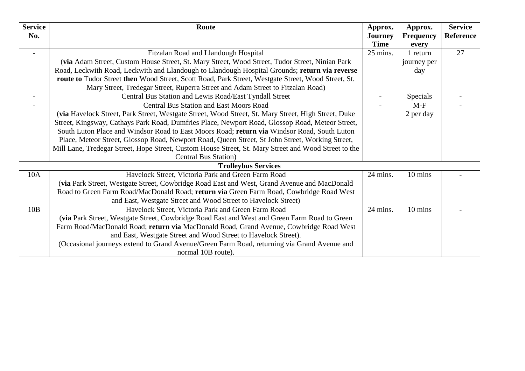| <b>Service</b>             | Route                                                                                                | Approx.     | Approx.          | <b>Service</b>   |  |
|----------------------------|------------------------------------------------------------------------------------------------------|-------------|------------------|------------------|--|
| No.                        |                                                                                                      | Journey     | <b>Frequency</b> | <b>Reference</b> |  |
|                            |                                                                                                      | <b>Time</b> | every            |                  |  |
|                            | Fitzalan Road and Llandough Hospital                                                                 | 25 mins.    | 1 return         | 27               |  |
|                            | (via Adam Street, Custom House Street, St. Mary Street, Wood Street, Tudor Street, Ninian Park       |             | journey per      |                  |  |
|                            | Road, Leckwith Road, Leckwith and Llandough to Llandough Hospital Grounds; return via reverse        |             | day              |                  |  |
|                            | route to Tudor Street then Wood Street, Scott Road, Park Street, Westgate Street, Wood Street, St.   |             |                  |                  |  |
|                            | Mary Street, Tredegar Street, Ruperra Street and Adam Street to Fitzalan Road)                       |             |                  |                  |  |
|                            | Central Bus Station and Lewis Road/East Tyndall Street                                               |             | Specials         |                  |  |
|                            | <b>Central Bus Station and East Moors Road</b>                                                       |             | $M-F$            |                  |  |
|                            | (via Havelock Street, Park Street, Westgate Street, Wood Street, St. Mary Street, High Street, Duke  |             | 2 per day        |                  |  |
|                            | Street, Kingsway, Cathays Park Road, Dumfries Place, Newport Road, Glossop Road, Meteor Street,      |             |                  |                  |  |
|                            | South Luton Place and Windsor Road to East Moors Road; return via Windsor Road, South Luton          |             |                  |                  |  |
|                            | Place, Meteor Street, Glossop Road, Newport Road, Queen Street, St John Street, Working Street,      |             |                  |                  |  |
|                            | Mill Lane, Tredegar Street, Hope Street, Custom House Street, St. Mary Street and Wood Street to the |             |                  |                  |  |
|                            | <b>Central Bus Station</b> )                                                                         |             |                  |                  |  |
| <b>Trolleybus Services</b> |                                                                                                      |             |                  |                  |  |
| 10A                        | Havelock Street, Victoria Park and Green Farm Road                                                   | 24 mins.    | 10 mins          |                  |  |
|                            | (via Park Street, Westgate Street, Cowbridge Road East and West, Grand Avenue and MacDonald          |             |                  |                  |  |
|                            | Road to Green Farm Road/MacDonald Road; return via Green Farm Road, Cowbridge Road West              |             |                  |                  |  |
|                            | and East, Westgate Street and Wood Street to Havelock Street)                                        |             |                  |                  |  |
| 10B                        | Havelock Street, Victoria Park and Green Farm Road                                                   | 24 mins.    | 10 mins          |                  |  |
|                            | (via Park Street, Westgate Street, Cowbridge Road East and West and Green Farm Road to Green         |             |                  |                  |  |
|                            | Farm Road/MacDonald Road; return via MacDonald Road, Grand Avenue, Cowbridge Road West               |             |                  |                  |  |
|                            | and East, Westgate Street and Wood Street to Havelock Street).                                       |             |                  |                  |  |
|                            | (Occasional journeys extend to Grand Avenue/Green Farm Road, returning via Grand Avenue and          |             |                  |                  |  |
|                            | normal 10B route).                                                                                   |             |                  |                  |  |